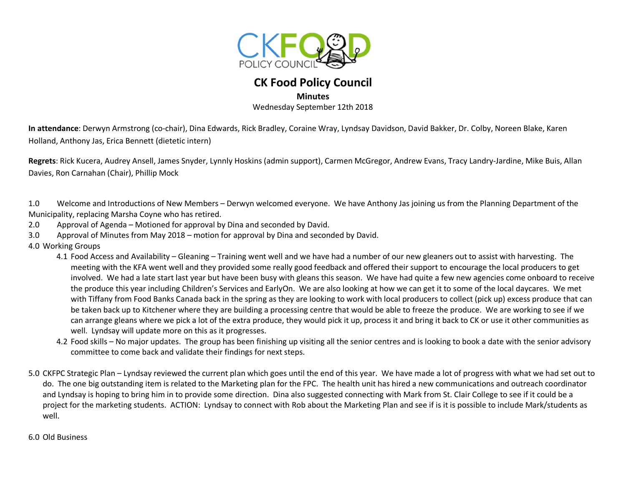

## **CK Food Policy Council**

**Minutes** 

Wednesday September 12th 2018

**In attendance**: Derwyn Armstrong (co-chair), Dina Edwards, Rick Bradley, Coraine Wray, Lyndsay Davidson, David Bakker, Dr. Colby, Noreen Blake, Karen Holland, Anthony Jas, Erica Bennett (dietetic intern)

**Regrets**: Rick Kucera, Audrey Ansell, James Snyder, Lynnly Hoskins (admin support), Carmen McGregor, Andrew Evans, Tracy Landry-Jardine, Mike Buis, Allan Davies, Ron Carnahan (Chair), Phillip Mock

1.0 Welcome and Introductions of New Members – Derwyn welcomed everyone. We have Anthony Jas joining us from the Planning Department of the Municipality, replacing Marsha Coyne who has retired.

- 2.0 Approval of Agenda Motioned for approval by Dina and seconded by David.
- 3.0 Approval of Minutes from May 2018 motion for approval by Dina and seconded by David.
- 4.0 Working Groups
	- 4.1 Food Access and Availability Gleaning Training went well and we have had a number of our new gleaners out to assist with harvesting. The meeting with the KFA went well and they provided some really good feedback and offered their support to encourage the local producers to get involved. We had a late start last year but have been busy with gleans this season. We have had quite a few new agencies come onboard to receive the produce this year including Children's Services and EarlyOn. We are also looking at how we can get it to some of the local daycares. We met with Tiffany from Food Banks Canada back in the spring as they are looking to work with local producers to collect (pick up) excess produce that can be taken back up to Kitchener where they are building a processing centre that would be able to freeze the produce. We are working to see if we can arrange gleans where we pick a lot of the extra produce, they would pick it up, process it and bring it back to CK or use it other communities as well. Lyndsay will update more on this as it progresses.
	- 4.2 Food skills No major updates. The group has been finishing up visiting all the senior centres and is looking to book a date with the senior advisory committee to come back and validate their findings for next steps.
- 5.0 CKFPC Strategic Plan Lyndsay reviewed the current plan which goes until the end of this year. We have made a lot of progress with what we had set out to do. The one big outstanding item is related to the Marketing plan for the FPC. The health unit has hired a new communications and outreach coordinator and Lyndsay is hoping to bring him in to provide some direction. Dina also suggested connecting with Mark from St. Clair College to see if it could be a project for the marketing students. ACTION: Lyndsay to connect with Rob about the Marketing Plan and see if is it is possible to include Mark/students as well.

6.0 Old Business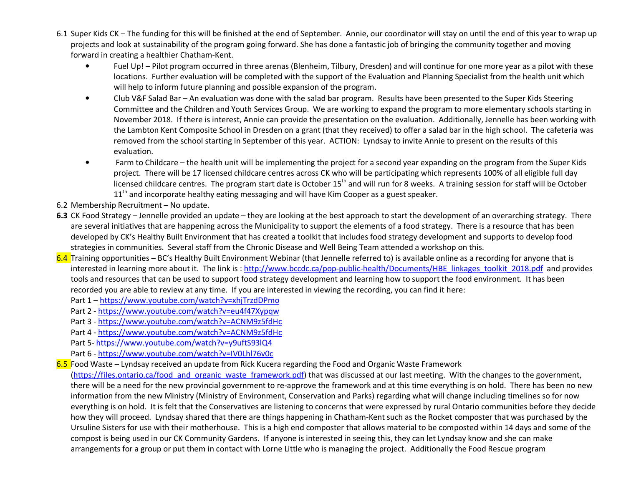- 6.1 Super Kids CK The funding for this will be finished at the end of September. Annie, our coordinator will stay on until the end of this year to wrap upprojects and look at sustainability of the program going forward. She has done a fantastic job of bringing the community together and moving forward in creating a healthier Chatham-Kent.
	- • Fuel Up! – Pilot program occurred in three arenas (Blenheim, Tilbury, Dresden) and will continue for one more year as a pilot with these locations. Further evaluation will be completed with the support of the Evaluation and Planning Specialist from the health unit which will help to inform future planning and possible expansion of the program.
	- • Club V&F Salad Bar – An evaluation was done with the salad bar program. Results have been presented to the Super Kids Steering Committee and the Children and Youth Services Group. We are working to expand the program to more elementary schools starting in November 2018. If there is interest, Annie can provide the presentation on the evaluation. Additionally, Jennelle has been working with the Lambton Kent Composite School in Dresden on a grant (that they received) to offer a salad bar in the high school. The cafeteria was removed from the school starting in September of this year. ACTION: Lyndsay to invite Annie to present on the results of this evaluation.
	- Farm to Childcare the health unit will be implementing the project for a second year expanding on the program from the Super Kids project. There will be 17 licensed childcare centres across CK who will be participating which represents 100% of all eligible full day licensed childcare centres. The program start date is October 15<sup>th</sup> and will run for 8 weeks. A training session for staff will be October 11<sup>th</sup> and incorporate healthy eating messaging and will have Kim Cooper as a guest speaker.
- 6.2 Membership Recruitment No update.
- **6.3** CK Food Strategy Jennelle provided an update they are looking at the best approach to start the development of an overarching strategy. There are several initiatives that are happening across the Municipality to support the elements of a food strategy. There is a resource that has been developed by CK's Healthy Built Environment that has created a toolkit that includes food strategy development and supports to develop food strategies in communities. Several staff from the Chronic Disease and Well Being Team attended a workshop on this.
- 6.4 Training opportunities BC's Healthy Built Environment Webinar (that Jennelle referred to) is available online as a recording for anyone that is interested in learning more about it. The link is: http://www.bccdc.ca/pop-public-health/Documents/HBE\_linkages\_toolkit\_2018.pdf and provides tools and resources that can be used to support food strategy development and learning how to support the food environment. It has been recorded you are able to review at any time. If you are interested in viewing the recording, you can find it here:
	- Part 1 https://www.youtube.com/watch?v=xhjTrzdDPmo
	- Part 2 <u>https://www.youtube.com/watch?v=eu4f47Xypqw</u>
	- Part 3 https://www.youtube.com/watch?v=ACNM9z5fdHc
	- Part 4 https://www.youtube.com/watch?v=ACNM9z5fdHc
	- Part 5- https://www.youtube.com/watch?v=y9uftS93lQ4
	- Part 6 https://www.youtube.com/watch?v=IV0Lhl76v0c
- 6.5 Food Waste Lyndsay received an update from Rick Kucera regarding the Food and Organic Waste Framework

(https://files.ontario.ca/food and organic waste framework.pdf) that was discussed at our last meeting. With the changes to the government, there will be a need for the new provincial government to re-approve the framework and at this time everything is on hold. There has been no new information from the new Ministry (Ministry of Environment, Conservation and Parks) regarding what will change including timelines so for now everything is on hold. It is felt that the Conservatives are listening to concerns that were expressed by rural Ontario communities before they decide how they will proceed. Lyndsay shared that there are things happening in Chatham-Kent such as the Rocket composter that was purchased by the Ursuline Sisters for use with their motherhouse. This is a high end composter that allows material to be composted within 14 days and some of the compost is being used in our CK Community Gardens. If anyone is interested in seeing this, they can let Lyndsay know and she can make arrangements for a group or put them in contact with Lorne Little who is managing the project. Additionally the Food Rescue program